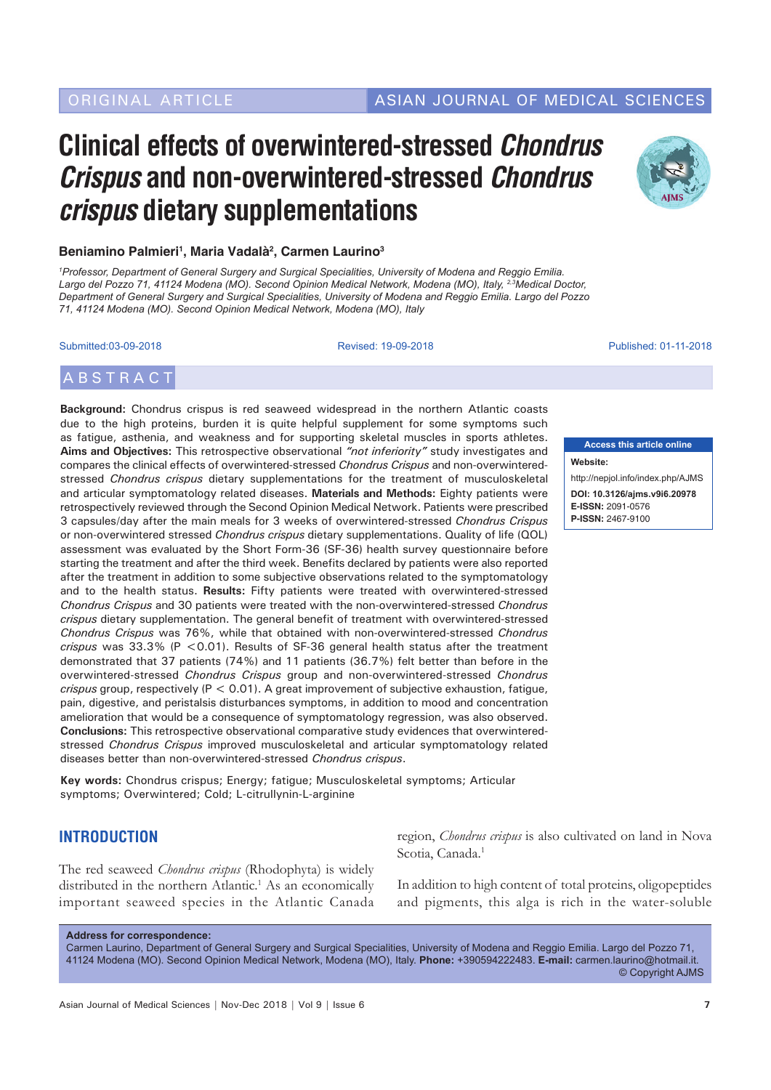## ORIGINAL ARTICLE ASIAN JOURNAL OF MEDICAL SCIENCES

# **Clinical effects of overwintered-stressed** *Chondrus Crispus* **and non-overwintered-stressed** *Chondrus crispus* **dietary supplementations**



*1 Professor, Department of General Surgery and Surgical Specialities, University of Modena and Reggio Emilia. Largo del Pozzo 71, 41124 Modena (MO). Second Opinion Medical Network, Modena (MO), Italy, 2,3Medical Doctor, Department of General Surgery and Surgical Specialities, University of Modena and Reggio Emilia. Largo del Pozzo 71, 41124 Modena (MO). Second Opinion Medical Network, Modena (MO), Italy*

Submitted:03-09-2018 Revised: 19-09-2018 Published: 01-11-2018

## **ABSTRACT**

**Background:** Chondrus crispus is red seaweed widespread in the northern Atlantic coasts due to the high proteins, burden it is quite helpful supplement for some symptoms such as fatigue, asthenia, and weakness and for supporting skeletal muscles in sports athletes. **Aims and Objectives:** This retrospective observational *"not inferiority"* study investigates and compares the clinical effects of overwintered-stressed *Chondrus Crispus* and non-overwinteredstressed *Chondrus crispus* dietary supplementations for the treatment of musculoskeletal and articular symptomatology related diseases. **Materials and Methods:** Eighty patients were retrospectively reviewed through the Second Opinion Medical Network. Patients were prescribed 3 capsules/day after the main meals for 3 weeks of overwintered-stressed *Chondrus Crispus* or non-overwintered stressed *Chondrus crispus* dietary supplementations. Quality of life (QOL) assessment was evaluated by the Short Form-36 (SF-36) health survey questionnaire before starting the treatment and after the third week. Benefits declared by patients were also reported after the treatment in addition to some subjective observations related to the symptomatology and to the health status. **Results:** Fifty patients were treated with overwintered-stressed *Chondrus Crispus* and 30 patients were treated with the non-overwintered-stressed *Chondrus crispus* dietary supplementation. The general benefit of treatment with overwintered-stressed *Chondrus Crispus* was 76%, while that obtained with non-overwintered-stressed *Chondrus crispus* was 33.3% (P <0.01). Results of SF-36 general health status after the treatment demonstrated that 37 patients (74%) and 11 patients (36.7%) felt better than before in the overwintered-stressed *Chondrus Crispus* group and non-overwintered-stressed *Chondrus crispus* group, respectively (P < 0.01). A great improvement of subjective exhaustion, fatigue, pain, digestive, and peristalsis disturbances symptoms, in addition to mood and concentration amelioration that would be a consequence of symptomatology regression, was also observed. **Conclusions:** This retrospective observational comparative study evidences that overwinteredstressed *Chondrus Crispus* improved musculoskeletal and articular symptomatology related diseases better than non-overwintered-stressed *Chondrus crispus*.

**Key words:** Chondrus crispus; Energy; fatigue; Musculoskeletal symptoms; Articular symptoms; Overwintered; Cold; L-citrullynin-L-arginine

### **INTRODUCTION**

The red seaweed *Chondrus crispus* (Rhodophyta) is widely distributed in the northern Atlantic.<sup>1</sup> As an economically important seaweed species in the Atlantic Canada



**Access this article online**

**P-ISSN:** 2467-9100

**Website:**

region, *Chondrus crispus* is also cultivated on land in Nova Scotia, Canada.<sup>1</sup>

In addition to high content of total proteins, oligopeptides and pigments, this alga is rich in the water-soluble

**Address for correspondence:**

Carmen Laurino, Department of General Surgery and Surgical Specialities, University of Modena and Reggio Emilia. Largo del Pozzo 71, 41124 Modena (MO). Second Opinion Medical Network, Modena (MO), Italy. **Phone:** +390594222483. **E-mail:** carmen.laurino@hotmail.it. © Copyright AJMS

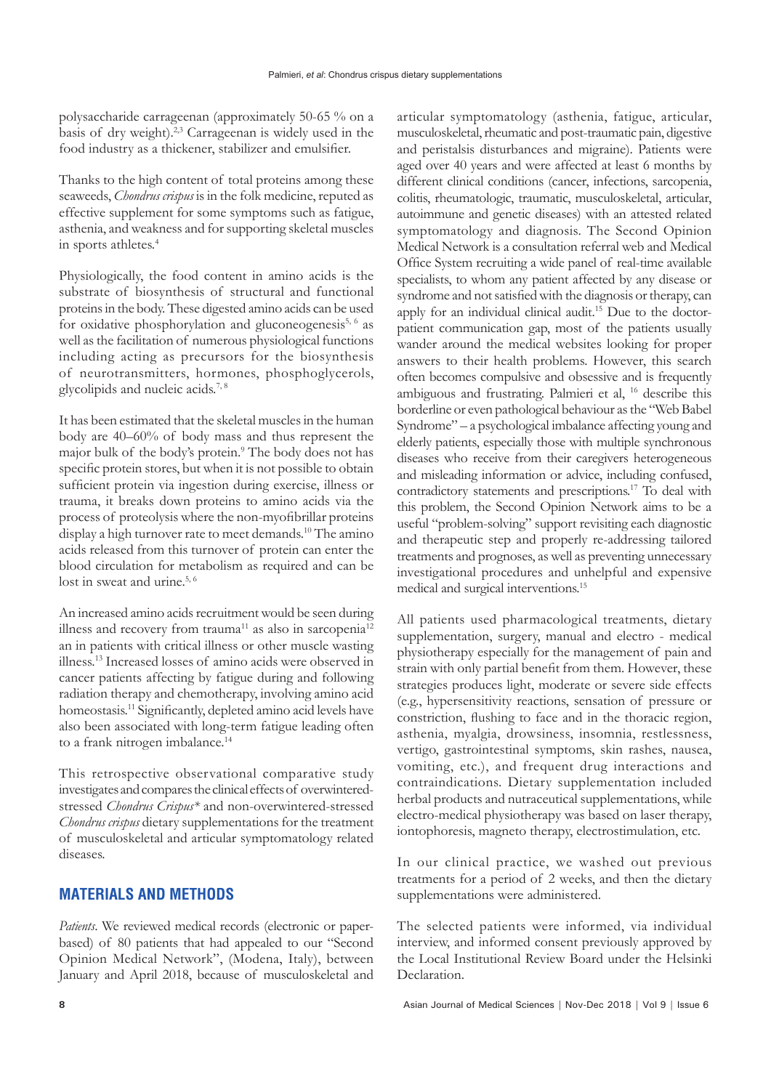polysaccharide carrageenan (approximately 50-65 % on a basis of dry weight).2,3 Carrageenan is widely used in the food industry as a thickener, stabilizer and emulsifier.

Thanks to the high content of total proteins among these seaweeds, *Chondrus crispus* is in the folk medicine, reputed as effective supplement for some symptoms such as fatigue, asthenia, and weakness and for supporting skeletal muscles in sports athletes.<sup>4</sup>

Physiologically, the food content in amino acids is the substrate of biosynthesis of structural and functional proteins in the body. These digested amino acids can be used for oxidative phosphorylation and gluconeogenesis<sup>5, 6</sup> as well as the facilitation of numerous physiological functions including acting as precursors for the biosynthesis of neurotransmitters, hormones, phosphoglycerols, glycolipids and nucleic acids.7, 8

It has been estimated that the skeletal muscles in the human body are 40–60% of body mass and thus represent the major bulk of the body's protein.9 The body does not has specific protein stores, but when it is not possible to obtain sufficient protein via ingestion during exercise, illness or trauma, it breaks down proteins to amino acids via the process of proteolysis where the non-myofibrillar proteins display a high turnover rate to meet demands.<sup>10</sup> The amino acids released from this turnover of protein can enter the blood circulation for metabolism as required and can be lost in sweat and urine.<sup>5, 6</sup>

An increased amino acids recruitment would be seen during illness and recovery from trauma<sup>11</sup> as also in sarcopenia<sup>12</sup> an in patients with critical illness or other muscle wasting illness.13 Increased losses of amino acids were observed in cancer patients affecting by fatigue during and following radiation therapy and chemotherapy, involving amino acid homeostasis.<sup>11</sup> Significantly, depleted amino acid levels have also been associated with long-term fatigue leading often to a frank nitrogen imbalance.<sup>14</sup>

This retrospective observational comparative study investigates and compares the clinical effects of overwinteredstressed *Chondrus Crispus\** and non-overwintered-stressed *Chondrus crispus* dietary supplementations for the treatment of musculoskeletal and articular symptomatology related diseases.

#### **MATERIALS AND METHODS**

*Patients*. We reviewed medical records (electronic or paperbased) of 80 patients that had appealed to our "Second Opinion Medical Network", (Modena, Italy), between January and April 2018, because of musculoskeletal and

articular symptomatology (asthenia, fatigue, articular, musculoskeletal, rheumatic and post-traumatic pain, digestive and peristalsis disturbances and migraine). Patients were aged over 40 years and were affected at least 6 months by different clinical conditions (cancer, infections, sarcopenia, colitis, rheumatologic, traumatic, musculoskeletal, articular, autoimmune and genetic diseases) with an attested related symptomatology and diagnosis. The Second Opinion Medical Network is a consultation referral web and Medical Office System recruiting a wide panel of real-time available specialists, to whom any patient affected by any disease or syndrome and not satisfied with the diagnosis or therapy, can apply for an individual clinical audit.<sup>15</sup> Due to the doctorpatient communication gap, most of the patients usually wander around the medical websites looking for proper answers to their health problems. However, this search often becomes compulsive and obsessive and is frequently ambiguous and frustrating. Palmieri et al, 16 describe this borderline or even pathological behaviour as the "Web Babel Syndrome" – a psychological imbalance affecting young and elderly patients, especially those with multiple synchronous diseases who receive from their caregivers heterogeneous and misleading information or advice, including confused, contradictory statements and prescriptions.17 To deal with this problem, the Second Opinion Network aims to be a useful "problem-solving" support revisiting each diagnostic and therapeutic step and properly re-addressing tailored treatments and prognoses, as well as preventing unnecessary investigational procedures and unhelpful and expensive medical and surgical interventions.15

All patients used pharmacological treatments, dietary supplementation, surgery, manual and electro - medical physiotherapy especially for the management of pain and strain with only partial benefit from them. However, these strategies produces light, moderate or severe side effects (e.g., hypersensitivity reactions, sensation of pressure or constriction, flushing to face and in the thoracic region, asthenia, myalgia, drowsiness, insomnia, restlessness, vertigo, gastrointestinal symptoms, skin rashes, nausea, vomiting, etc.), and frequent drug interactions and contraindications. Dietary supplementation included herbal products and nutraceutical supplementations, while electro-medical physiotherapy was based on laser therapy, iontophoresis, magneto therapy, electrostimulation, etc.

In our clinical practice, we washed out previous treatments for a period of 2 weeks, and then the dietary supplementations were administered.

The selected patients were informed, via individual interview, and informed consent previously approved by the Local Institutional Review Board under the Helsinki Declaration.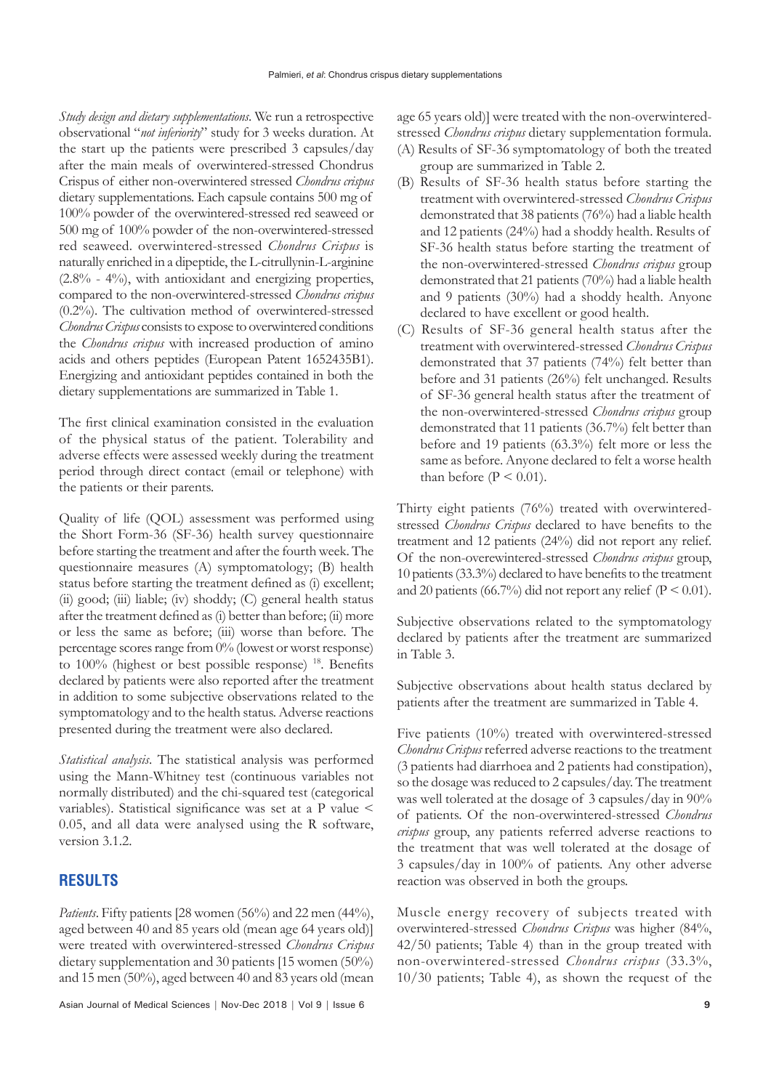*Study design and dietary supplementations*. We run a retrospective observational "*not inferiority*" study for 3 weeks duration. At the start up the patients were prescribed 3 capsules/day after the main meals of overwintered-stressed Chondrus Crispus of either non-overwintered stressed *Chondrus crispus* dietary supplementations. Each capsule contains 500 mg of 100% powder of the overwintered-stressed red seaweed or 500 mg of 100% powder of the non-overwintered-stressed red seaweed. overwintered-stressed *Chondrus Crispus* is naturally enriched in a dipeptide, the L-citrullynin-L-arginine  $(2.8\% - 4\%)$ , with antioxidant and energizing properties, compared to the non-overwintered-stressed *Chondrus crispus*  (0.2%). The cultivation method of overwintered-stressed *Chondrus Crispus* consists to expose to overwintered conditions the *Chondrus crispus* with increased production of amino acids and others peptides (European Patent 1652435B1). Energizing and antioxidant peptides contained in both the dietary supplementations are summarized in Table 1.

The first clinical examination consisted in the evaluation of the physical status of the patient. Tolerability and adverse effects were assessed weekly during the treatment period through direct contact (email or telephone) with the patients or their parents.

Quality of life (QOL) assessment was performed using the Short Form-36 (SF-36) health survey questionnaire before starting the treatment and after the fourth week. The questionnaire measures (A) symptomatology; (B) health status before starting the treatment defined as (i) excellent; (ii) good; (iii) liable; (iv) shoddy; (C) general health status after the treatment defined as (i) better than before; (ii) more or less the same as before; (iii) worse than before. The percentage scores range from 0% (lowest or worst response) to 100% (highest or best possible response)<sup>18</sup>. Benefits declared by patients were also reported after the treatment in addition to some subjective observations related to the symptomatology and to the health status. Adverse reactions presented during the treatment were also declared.

*Statistical analysis*. The statistical analysis was performed using the Mann-Whitney test (continuous variables not normally distributed) and the chi-squared test (categorical variables). Statistical significance was set at a P value < 0.05, and all data were analysed using the R software, version 3.1.2.

### **RESULTS**

*Patients*. Fifty patients [28 women (56%) and 22 men (44%), aged between 40 and 85 years old (mean age 64 years old)] were treated with overwintered-stressed *Chondrus Crispus* dietary supplementation and 30 patients [15 women (50%) and 15 men (50%), aged between 40 and 83 years old (mean

Asian Journal of Medical Sciences | Nov-Dec 2018 | Vol 9 | Issue 6 **9**

age 65 years old)] were treated with the non-overwinteredstressed *Chondrus crispus* dietary supplementation formula.

- (A) Results of SF-36 symptomatology of both the treated group are summarized in Table 2.
- (B) Results of SF-36 health status before starting the treatment with overwintered-stressed *Chondrus Crispus* demonstrated that 38 patients (76%) had a liable health and 12 patients (24%) had a shoddy health. Results of SF-36 health status before starting the treatment of the non-overwintered-stressed *Chondrus crispus* group demonstrated that 21 patients (70%) had a liable health and 9 patients (30%) had a shoddy health. Anyone declared to have excellent or good health.
- (C) Results of SF-36 general health status after the treatment with overwintered-stressed *Chondrus Crispus* demonstrated that 37 patients (74%) felt better than before and 31 patients (26%) felt unchanged. Results of SF-36 general health status after the treatment of the non-overwintered-stressed *Chondrus crispus* group demonstrated that 11 patients (36.7%) felt better than before and 19 patients (63.3%) felt more or less the same as before. Anyone declared to felt a worse health than before ( $P \le 0.01$ ).

Thirty eight patients (76%) treated with overwinteredstressed *Chondrus Crispus* declared to have benefits to the treatment and 12 patients (24%) did not report any relief. Of the non-overewintered-stressed *Chondrus crispus* group, 10 patients (33.3%) declared to have benefits to the treatment and 20 patients (66.7%) did not report any relief ( $P < 0.01$ ).

Subjective observations related to the symptomatology declared by patients after the treatment are summarized in Table 3.

Subjective observations about health status declared by patients after the treatment are summarized in Table 4.

Five patients (10%) treated with overwintered-stressed *Chondrus Crispus* referred adverse reactions to the treatment (3 patients had diarrhoea and 2 patients had constipation), so the dosage was reduced to 2 capsules/day. The treatment was well tolerated at the dosage of 3 capsules/day in 90% of patients. Of the non-overwintered-stressed *Chondrus crispus* group, any patients referred adverse reactions to the treatment that was well tolerated at the dosage of 3 capsules/day in 100% of patients. Any other adverse reaction was observed in both the groups.

Muscle energy recovery of subjects treated with overwintered-stressed *Chondrus Crispus* was higher (84%, 42/50 patients; Table 4) than in the group treated with non-overwintered-stressed *Chondrus crispus* (33.3%, 10/30 patients; Table 4), as shown the request of the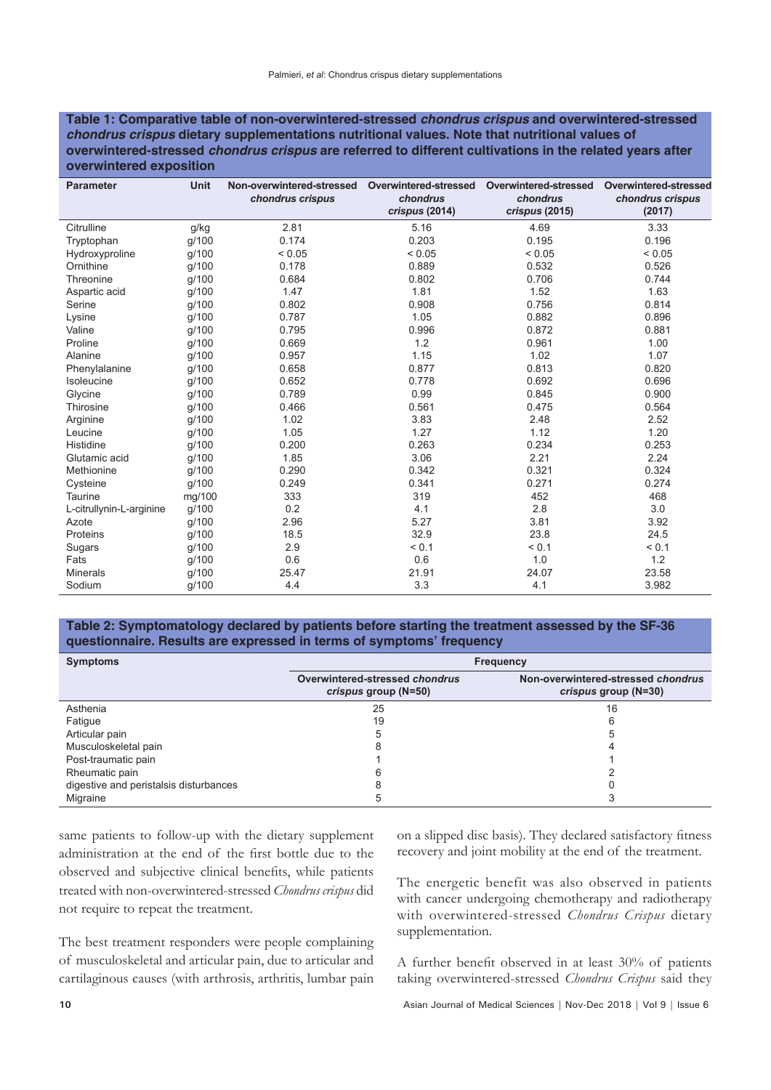#### **Table 1: Comparative table of non-overwintered-stressed** *chondrus crispus* **and overwintered-stressed**  *chondrus crispus* **dietary supplementations nutritional values. Note that nutritional values of overwintered-stressed** *chondrus crispus* **are referred to different cultivations in the related years after overwintered exposition**

| <b>Parameter</b>         | <b>Unit</b> | Non-overwintered-stressed<br>chondrus crispus | Overwintered-stressed<br>chondrus<br>crispus (2014) | Overwintered-stressed<br>chondrus<br>crispus (2015) | Overwintered-stressed<br>chondrus crispus<br>(2017) |
|--------------------------|-------------|-----------------------------------------------|-----------------------------------------------------|-----------------------------------------------------|-----------------------------------------------------|
| Citrulline               | g/kg        | 2.81                                          | 5.16                                                | 4.69                                                | 3.33                                                |
| Tryptophan               | g/100       | 0.174                                         | 0.203                                               | 0.195                                               | 0.196                                               |
| Hydroxyproline           | g/100       | ${}< 0.05$                                    | < 0.05                                              | < 0.05                                              | ${}_{0.05}$                                         |
| Ornithine                | q/100       | 0.178                                         | 0.889                                               | 0.532                                               | 0.526                                               |
| Threonine                | g/100       | 0.684                                         | 0.802                                               | 0.706                                               | 0.744                                               |
| Aspartic acid            | g/100       | 1.47                                          | 1.81                                                | 1.52                                                | 1.63                                                |
| Serine                   | g/100       | 0.802                                         | 0.908                                               | 0.756                                               | 0.814                                               |
| Lysine                   | g/100       | 0.787                                         | 1.05                                                | 0.882                                               | 0.896                                               |
| Valine                   | g/100       | 0.795                                         | 0.996                                               | 0.872                                               | 0.881                                               |
| Proline                  | g/100       | 0.669                                         | 1.2                                                 | 0.961                                               | 1.00                                                |
| Alanine                  | g/100       | 0.957                                         | 1.15                                                | 1.02                                                | 1.07                                                |
| Phenylalanine            | g/100       | 0.658                                         | 0.877                                               | 0.813                                               | 0.820                                               |
| Isoleucine               | g/100       | 0.652                                         | 0.778                                               | 0.692                                               | 0.696                                               |
| Glycine                  | g/100       | 0.789                                         | 0.99                                                | 0.845                                               | 0.900                                               |
| Thirosine                | g/100       | 0.466                                         | 0.561                                               | 0.475                                               | 0.564                                               |
| Arginine                 | g/100       | 1.02                                          | 3.83                                                | 2.48                                                | 2.52                                                |
| Leucine                  | g/100       | 1.05                                          | 1.27                                                | 1.12                                                | 1.20                                                |
| Histidine                | g/100       | 0.200                                         | 0.263                                               | 0.234                                               | 0.253                                               |
| Glutamic acid            | g/100       | 1.85                                          | 3.06                                                | 2.21                                                | 2.24                                                |
| Methionine               | g/100       | 0.290                                         | 0.342                                               | 0.321                                               | 0.324                                               |
| Cysteine                 | q/100       | 0.249                                         | 0.341                                               | 0.271                                               | 0.274                                               |
| Taurine                  | mg/100      | 333                                           | 319                                                 | 452                                                 | 468                                                 |
| L-citrullynin-L-arginine | g/100       | 0.2                                           | 4.1                                                 | 2.8                                                 | 3.0                                                 |
| Azote                    | g/100       | 2.96                                          | 5.27                                                | 3.81                                                | 3.92                                                |
| Proteins                 | g/100       | 18.5                                          | 32.9                                                | 23.8                                                | 24.5                                                |
| Sugars                   | g/100       | 2.9                                           | < 0.1                                               | < 0.1                                               | < 0.1                                               |
| Fats                     | g/100       | 0.6                                           | 0.6                                                 | 1.0                                                 | 1.2                                                 |
| <b>Minerals</b>          | g/100       | 25.47                                         | 21.91                                               | 24.07                                               | 23.58                                               |
| Sodium                   | g/100       | 4.4                                           | 3.3                                                 | 4.1                                                 | 3.982                                               |

#### **Table 2: Symptomatology declared by patients before starting the treatment assessed by the SF-36 questionnaire. Results are expressed in terms of symptoms' frequency**

| <b>Symptoms</b>                        | <b>Frequency</b>                                       |                                                            |  |
|----------------------------------------|--------------------------------------------------------|------------------------------------------------------------|--|
|                                        | Overwintered-stressed chondrus<br>crispus group (N=50) | Non-overwintered-stressed chondrus<br>crispus group (N=30) |  |
| Asthenia                               | 25                                                     | 16                                                         |  |
| Fatigue                                | 19                                                     |                                                            |  |
| Articular pain                         | 5                                                      |                                                            |  |
| Musculoskeletal pain                   |                                                        |                                                            |  |
| Post-traumatic pain                    |                                                        |                                                            |  |
| Rheumatic pain                         |                                                        |                                                            |  |
| digestive and peristalsis disturbances |                                                        |                                                            |  |
| Migraine                               |                                                        |                                                            |  |

same patients to follow-up with the dietary supplement administration at the end of the first bottle due to the observed and subjective clinical benefits, while patients treated with non-overwintered-stressed *Chondrus crispus* did not require to repeat the treatment.

The best treatment responders were people complaining of musculoskeletal and articular pain, due to articular and cartilaginous causes (with arthrosis, arthritis, lumbar pain on a slipped disc basis). They declared satisfactory fitness recovery and joint mobility at the end of the treatment.

The energetic benefit was also observed in patients with cancer undergoing chemotherapy and radiotherapy with overwintered-stressed *Chondrus Crispus* dietary supplementation.

A further benefit observed in at least 30% of patients taking overwintered-stressed *Chondrus Crispus* said they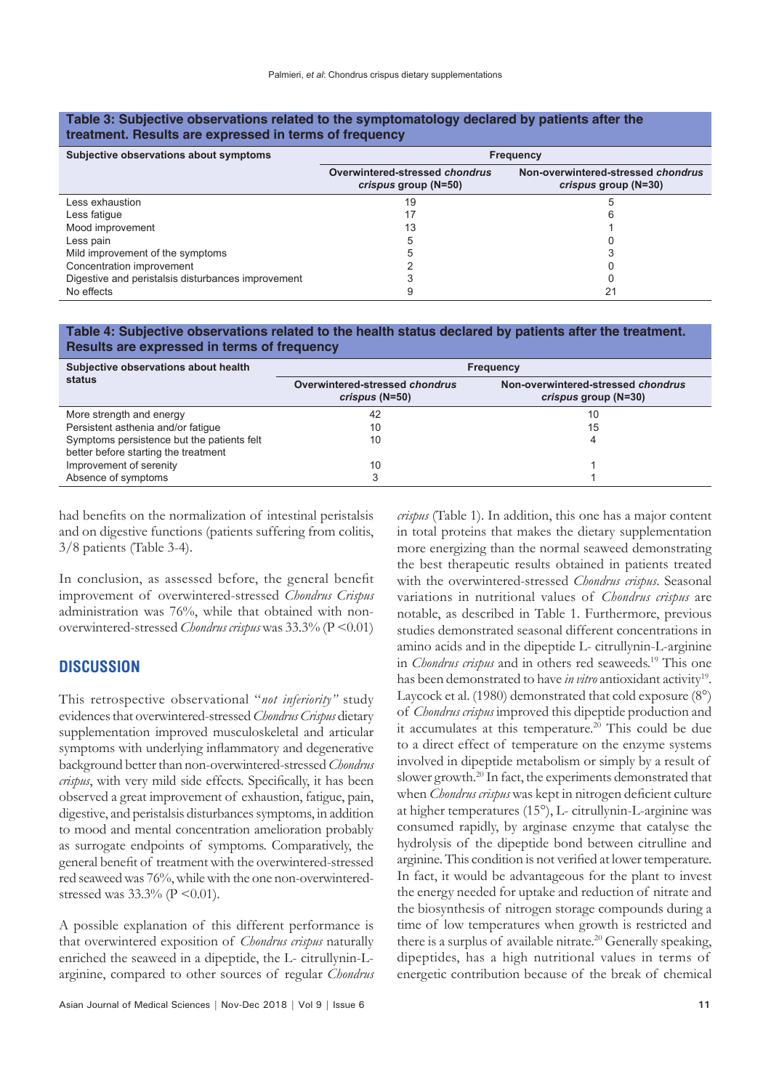| treatment. Results are expressed in terms of frequency |                                                        |                                                            |  |  |  |
|--------------------------------------------------------|--------------------------------------------------------|------------------------------------------------------------|--|--|--|
| Subjective observations about symptoms                 | <b>Frequency</b>                                       |                                                            |  |  |  |
|                                                        | Overwintered-stressed chondrus<br>crispus group (N=50) | Non-overwintered-stressed chondrus<br>crispus group (N=30) |  |  |  |
| Less exhaustion                                        | 19                                                     |                                                            |  |  |  |
| Less fatique                                           | 17                                                     |                                                            |  |  |  |
| Mood improvement                                       | 13                                                     |                                                            |  |  |  |
| Less pain                                              |                                                        |                                                            |  |  |  |
| Mild improvement of the symptoms                       |                                                        |                                                            |  |  |  |
| Concentration improvement                              |                                                        |                                                            |  |  |  |
| Digestive and peristalsis disturbances improvement     |                                                        |                                                            |  |  |  |
| No effects                                             |                                                        |                                                            |  |  |  |

# **Table 3: Subjective observations related to the symptomatology declared by patients after the**

#### **Table 4: Subjective observations related to the health status declared by patients after the treatment. Results are expressed in terms of frequency**

| Subjective observations about health       | <b>Frequency</b>                                 |                                                            |  |
|--------------------------------------------|--------------------------------------------------|------------------------------------------------------------|--|
| status                                     | Overwintered-stressed chondrus<br>crispus (N=50) | Non-overwintered-stressed chondrus<br>crispus group (N=30) |  |
| More strength and energy                   | 42                                               | 10                                                         |  |
| Persistent asthenia and/or fatique         | 10                                               | 15                                                         |  |
| Symptoms persistence but the patients felt | 10                                               |                                                            |  |
| better before starting the treatment       |                                                  |                                                            |  |
| Improvement of serenity                    | 10                                               |                                                            |  |
| Absence of symptoms                        |                                                  |                                                            |  |

had benefits on the normalization of intestinal peristalsis and on digestive functions (patients suffering from colitis, 3/8 patients (Table 3-4).

In conclusion, as assessed before, the general benefit improvement of overwintered-stressed *Chondrus Crispus* administration was 76%, while that obtained with nonoverwintered-stressed *Chondrus crispus* was 33.3% (P <0.01)

#### **DISCUSSION**

This retrospective observational "*not inferiority"* study evidences that overwintered-stressed *Chondrus Crispus* dietary supplementation improved musculoskeletal and articular symptoms with underlying inflammatory and degenerative background better than non-overwintered-stressed *Chondrus crispus*, with very mild side effects. Specifically, it has been observed a great improvement of exhaustion, fatigue, pain, digestive, and peristalsis disturbances symptoms, in addition to mood and mental concentration amelioration probably as surrogate endpoints of symptoms. Comparatively, the general benefit of treatment with the overwintered-stressed red seaweed was 76%, while with the one non-overwinteredstressed was  $33.3\%$  (P < 0.01).

A possible explanation of this different performance is that overwintered exposition of *Chondrus crispus* naturally enriched the seaweed in a dipeptide, the L- citrullynin-Larginine, compared to other sources of regular *Chondrus* 

Asian Journal of Medical Sciences | Nov-Dec 2018 | Vol 9 | Issue 6 **11**

*crispus* (Table 1). In addition, this one has a major content in total proteins that makes the dietary supplementation more energizing than the normal seaweed demonstrating the best therapeutic results obtained in patients treated with the overwintered-stressed *Chondrus crispus*. Seasonal variations in nutritional values of *Chondrus crispus* are notable, as described in Table 1. Furthermore, previous studies demonstrated seasonal different concentrations in amino acids and in the dipeptide L- citrullynin-L-arginine in *Chondrus crispus* and in others red seaweeds.19 This one has been demonstrated to have *in vitro* antioxidant activity19. Laycock et al. (1980) demonstrated that cold exposure (8°) of *Chondrus crispus* improved this dipeptide production and it accumulates at this temperature.<sup>20</sup> This could be due to a direct effect of temperature on the enzyme systems involved in dipeptide metabolism or simply by a result of slower growth.<sup>20</sup> In fact, the experiments demonstrated that when *Chondrus crispus* was kept in nitrogen deficient culture at higher temperatures (15°), L- citrullynin-L-arginine was consumed rapidly, by arginase enzyme that catalyse the hydrolysis of the dipeptide bond between citrulline and arginine. This condition is not verified at lower temperature. In fact, it would be advantageous for the plant to invest the energy needed for uptake and reduction of nitrate and the biosynthesis of nitrogen storage compounds during a time of low temperatures when growth is restricted and there is a surplus of available nitrate.<sup>20</sup> Generally speaking, dipeptides, has a high nutritional values in terms of energetic contribution because of the break of chemical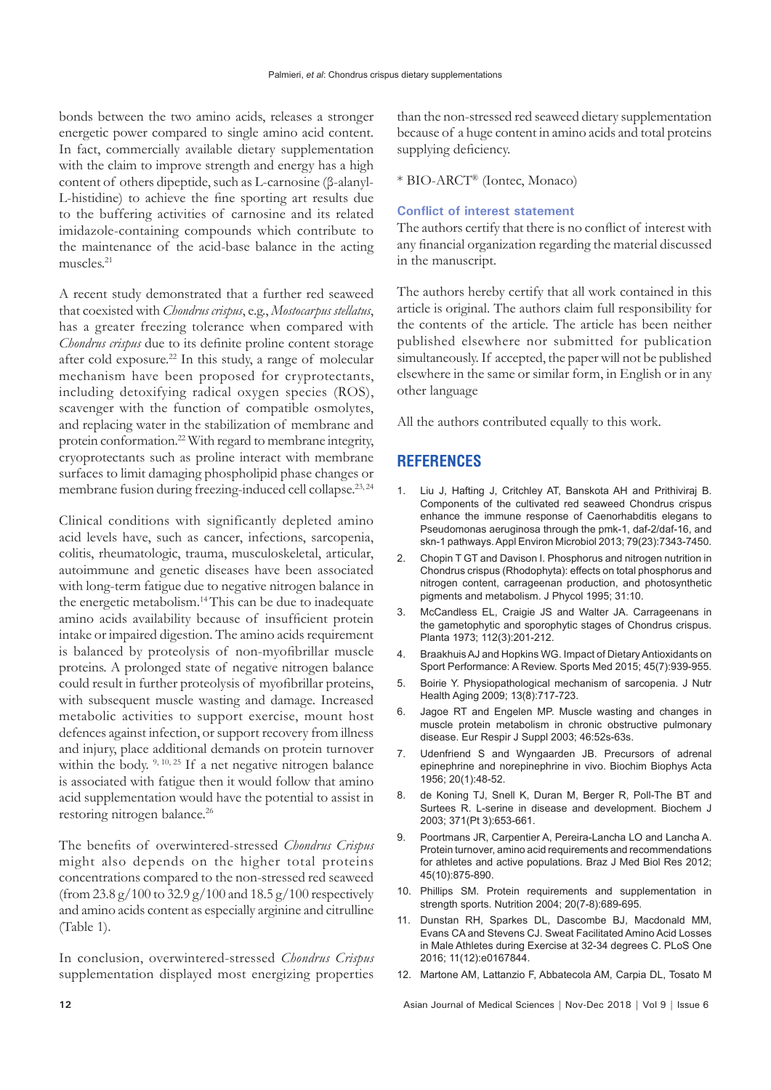bonds between the two amino acids, releases a stronger energetic power compared to single amino acid content. In fact, commercially available dietary supplementation with the claim to improve strength and energy has a high content of others dipeptide, such as L-carnosine (β-alanyl-L-histidine) to achieve the fine sporting art results due to the buffering activities of carnosine and its related imidazole-containing compounds which contribute to the maintenance of the acid-base balance in the acting muscles.21

A recent study demonstrated that a further red seaweed that coexisted with *Chondrus crispus*, e.g., *Mostocarpus stellatus*, has a greater freezing tolerance when compared with *Chondrus crispus* due to its definite proline content storage after cold exposure.<sup>22</sup> In this study, a range of molecular mechanism have been proposed for cryprotectants, including detoxifying radical oxygen species (ROS), scavenger with the function of compatible osmolytes, and replacing water in the stabilization of membrane and protein conformation.22 With regard to membrane integrity, cryoprotectants such as proline interact with membrane surfaces to limit damaging phospholipid phase changes or membrane fusion during freezing-induced cell collapse.<sup>23, 24</sup>

Clinical conditions with significantly depleted amino acid levels have, such as cancer, infections, sarcopenia, colitis, rheumatologic, trauma, musculoskeletal, articular, autoimmune and genetic diseases have been associated with long-term fatigue due to negative nitrogen balance in the energetic metabolism.14 This can be due to inadequate amino acids availability because of insufficient protein intake or impaired digestion. The amino acids requirement is balanced by proteolysis of non-myofibrillar muscle proteins. A prolonged state of negative nitrogen balance could result in further proteolysis of myofibrillar proteins, with subsequent muscle wasting and damage. Increased metabolic activities to support exercise, mount host defences against infection, or support recovery from illness and injury, place additional demands on protein turnover within the body. <sup>9, 10, 25</sup> If a net negative nitrogen balance is associated with fatigue then it would follow that amino acid supplementation would have the potential to assist in restoring nitrogen balance.26

The benefits of overwintered-stressed *Chondrus Crispus* might also depends on the higher total proteins concentrations compared to the non-stressed red seaweed (from 23.8 g/100 to 32.9 g/100 and 18.5 g/100 respectively and amino acids content as especially arginine and citrulline (Table 1).

In conclusion, overwintered-stressed *Chondrus Crispus* supplementation displayed most energizing properties

than the non-stressed red seaweed dietary supplementation because of a huge content in amino acids and total proteins supplying deficiency.

\* BIO-ARCT® (Iontec, Monaco)

#### **Conflict of interest statement**

The authors certify that there is no conflict of interest with any financial organization regarding the material discussed in the manuscript.

The authors hereby certify that all work contained in this article is original. The authors claim full responsibility for the contents of the article. The article has been neither published elsewhere nor submitted for publication simultaneously. If accepted, the paper will not be published elsewhere in the same or similar form, in English or in any other language

All the authors contributed equally to this work.

#### **REFERENCES**

- 1. Liu J, Hafting J, Critchley AT, Banskota AH and Prithiviraj B. Components of the cultivated red seaweed Chondrus crispus enhance the immune response of Caenorhabditis elegans to Pseudomonas aeruginosa through the pmk-1, daf-2/daf-16, and skn-1 pathways. Appl Environ Microbiol 2013; 79(23):7343-7450.
- 2. Chopin T GT and Davison I. Phosphorus and nitrogen nutrition in Chondrus crispus (Rhodophyta): effects on total phosphorus and nitrogen content, carrageenan production, and photosynthetic pigments and metabolism. J Phycol 1995; 31:10.
- 3. McCandless EL, Craigie JS and Walter JA. Carrageenans in the gametophytic and sporophytic stages of Chondrus crispus. Planta 1973; 112(3):201-212.
- 4. Braakhuis AJ and Hopkins WG. Impact of Dietary Antioxidants on Sport Performance: A Review. Sports Med 2015; 45(7):939-955.
- 5. Boirie Y. Physiopathological mechanism of sarcopenia. J Nutr Health Aging 2009; 13(8):717-723.
- 6. Jagoe RT and Engelen MP. Muscle wasting and changes in muscle protein metabolism in chronic obstructive pulmonary disease. Eur Respir J Suppl 2003; 46:52s-63s.
- 7. Udenfriend S and Wyngaarden JB. Precursors of adrenal epinephrine and norepinephrine in vivo. Biochim Biophys Acta 1956; 20(1):48-52.
- de Koning TJ, Snell K, Duran M, Berger R, Poll-The BT and Surtees R. L-serine in disease and development. Biochem J 2003; 371(Pt 3):653-661.
- 9. Poortmans JR, Carpentier A, Pereira-Lancha LO and Lancha A. Protein turnover, amino acid requirements and recommendations for athletes and active populations. Braz J Med Biol Res 2012; 45(10):875-890.
- 10. Phillips SM. Protein requirements and supplementation in strength sports. Nutrition 2004; 20(7-8):689-695.
- 11. Dunstan RH, Sparkes DL, Dascombe BJ, Macdonald MM, Evans CA and Stevens CJ. Sweat Facilitated Amino Acid Losses in Male Athletes during Exercise at 32-34 degrees C. PLoS One 2016; 11(12):e0167844.
- 12. Martone AM, Lattanzio F, Abbatecola AM, Carpia DL, Tosato M

**12** Asian Journal of Medical Sciences | Nov-Dec 2018 | Vol 9 | Issue 6